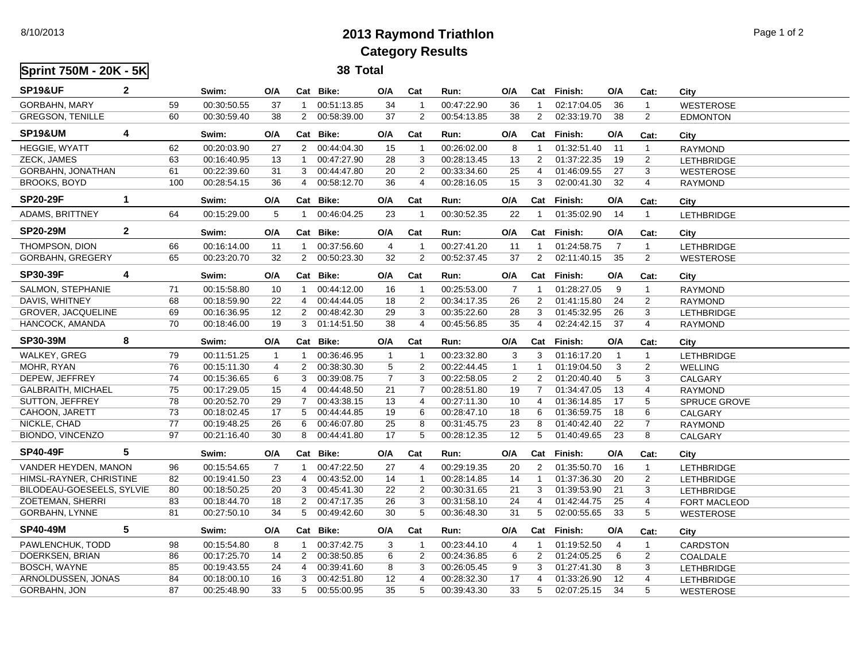## 8/10/2013 **2013 Raymond Triathlon** Page 1 of 2 **Category Results**

**Sprint 750M - 20K - 5K 38 Total SP19&UF 2 Swim: O/A Cat Bike: O/A Cat Run: O/A Cat Finish: O/A Cat: City** GORBAHN, MARY 59 00:30:50.55 37 1 00:51:13.85 34 1 00:47:22.90 36 1 02:17:04.05 36 1 WESTEROSE GREGSON, TENILLE 60 00:30:59.40 38 2 00:58:39.00 37 2 00:54:13.85 38 2 02:33:19.70 38 2 EDMONTON **SP19&UM 4 Swim: O/A Cat Bike: O/A Cat Run: O/A Cat Finish: O/A Cat: City** HEGGIE, WYATT 62 00:20:03.90 27 2 00:44:04.30 15 1 00:26:02.00 8 1 01:32:51.40 11 1 RAYMOND ZECK, JAMES 63 00:16:40.95 13 1 00:47:27.90 28 3 00:28:13.45 13 2 01:37:22.35 19 2 LETHBRIDGE GORBAHN, JONATHAN 61 00:22:39.60 31 3 00:44:47.80 20 2 00:33:34.60 25 4 01:46:09.55 27 3 WESTEROSE BROOKS, BOYD 100 00:28:54.15 36 4 00:58:12.70 36 4 00:28:16.05 15 3 02:00:41.30 32 4 RAYMOND **SP20-29F 1 Swim: O/A Cat Bike: O/A Cat Run: O/A Cat Finish: O/A Cat: City** ADAMS, BRITTNEY 64 00:15:29.00 5 1 00:46:04.25 23 1 00:30:52.35 22 1 01:35:02.90 14 1 LETHBRIDGE **SP20-29M 2 Swim: O/A Cat Bike: O/A Cat Run: O/A Cat Finish: O/A Cat: City** THOMPSON, DION 66 00:16:14.00 11 1 00:37:56.60 4 1 00:27:41.20 11 1 01:24:58.75 7 1 LETHBRIDGE GORBAHN, GREGERY 65 00:23:20.70 32 2 00:50:23.30 32 2 00:52:37.45 37 2 02:11:40.15 35 2 WESTEROSE **SP30-39F 4 Swim: O/A Cat Bike: O/A Cat Run: O/A Cat Finish: O/A Cat: City** SALMON, STEPHANIE 71 00:15:58.80 10 1 00:44:12.00 16 1 00:25:53.00 7 1 01:28:27.05 9 1 RAYMOND DAVIS, WHITNEY 68 00:18:59.90 22 4 00:44:44.05 18 2 00:34:17.35 26 2 01:41:15.80 24 2 RAYMOND GROVER, JACQUELINE 69 00:16:36.95 12 2 00:48:42.30 29 3 00:35:22.60 28 3 01:45:32.95 26 3 LETHBRIDGE HANCOCK, AMANDA 70 00:18:46.00 19 3 01:14:51.50 38 4 00:45:56.85 35 4 02:24:42.15 37 4 RAYMOND **SP30-39M 8 Swim: O/A Cat Bike: O/A Cat Run: O/A Cat Finish: O/A Cat: City** WALKEY, GREG 79 00:11:51.25 1 1 00:36:46.95 1 1 00:23:32.80 3 3 01:16:17.20 1 1 LETHBRIDGE MOHR, RYAN 76 00:15:11.30 4 2 00:38:30.30 5 2 00:22:44.45 1 1 01:19:04.50 3 2 WELLING DEPEW, JEFFREY 74 00:15:36.65 6 3 00:39:08.75 7 3 00:22:58.05 2 2 01:20:40.40 5 3 CALGARY GALBRAITH, MICHAEL 75 00:17:29.05 15 4 00:44:48.50 21 7 00:28:51.80 19 7 01:34:47.05 13 4 RAYMOND SUTTON, JEFFREY 78 00:20:52.70 29 7 00:43:38.15 13 4 00:27:11.30 10 4 01:36:14.85 17 5 SPRUCE GROVE CAHOON, JARETT 73 00:18:02.45 17 5 00:44:44.85 19 6 00:28:47.10 18 6 01:36:59.75 18 6 CALGARY NICKLE, CHAD 77 00:19:48.25 26 6 00:46:07.80 25 8 00:31:45.75 23 8 01:40:42.40 22 7 RAYMOND BIONDO, VINCENZO 97 00:21:16.40 30 8 00:44:41.80 17 5 00:28:12.35 12 5 01:40:49.65 23 8 CALGARY **SP40-49F 5 Swim: O/A Cat Bike: O/A Cat Run: O/A Cat Finish: O/A Cat: City** VANDER HEYDEN, MANON 96 00:15:54.65 7 1 00:47:22.50 27 4 00:29:19.35 20 2 01:35:50.70 16 1 LETHBRIDGE HIMSL-RAYNER, CHRISTINE 82 00:19:41.50 23 4 00:43:52.00 14 1 00:28:14.85 14 1 01:37:36.30 20 2 LETHBRIDGE BILODEAU-GOESEELS, SYLVIE 80 00:18:50.25 20 3 00:45:41.30 22 2 00:30:31.65 21 3 01:39:53.90 21 3 LETHBRIDGE ZOETEMAN, SHERRI 83 00:18:44.70 18 2 00:47:17.35 26 3 00:31:58.10 24 4 01:42:44.75 25 4 FORT MACLEOD GORBAHN, LYNNE 81 00:27:50.10 34 5 00:49:42.60 30 5 00:36:48.30 31 5 02:00:55.65 33 5 WESTEROSE **SP40-49M 5 Swim: O/A Cat Bike: O/A Cat Run: O/A Cat Finish: O/A Cat: City** PAWLENCHUK, TODD 98 00:15:54.80 8 1 00:37:42.75 3 1 00:23:44.10 4 1 01:19:52.50 4 1 CARDSTON DOERKSEN, BRIAN 86 00:17:25.70 14 2 00:38:50.85 6 2 00:24:36.85 6 2 01:24:05.25 6 2 COALDALE BOSCH, WAYNE 85 00:19:43.55 24 4 00:39:41.60 8 3 00:26:05.45 9 3 01:27:41.30 8 3 LETHBRIDGE ARNOLDUSSEN, JONAS 84 00:18:00.10 16 3 00:42:51.80 12 4 00:28:32.30 17 4 01:33:26.90 12 4 LETHBRIDGE GORBAHN, JON 87 00:25:48.90 33 5 00:55:00.95 35 5 00:39:43.30 33 5 02:07:25.15 34 5 WESTEROSE